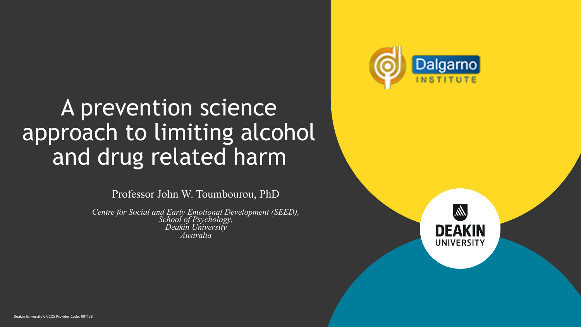

#### A prevention science approach to limiting alcohol and drug related harm

Professor John W. Toumbourou, PhD

*Centre for Social and Early Emotional Development (SEED), School of Psychology, Deakin University Australia* 



Deakin University CRICOS Provider Code: 00113B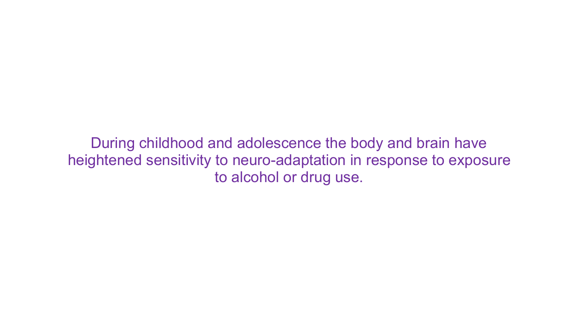During childhood and adolescence the body and brain have heightened sensitivity to neuro-adaptation in response to exposure to alcohol or drug use.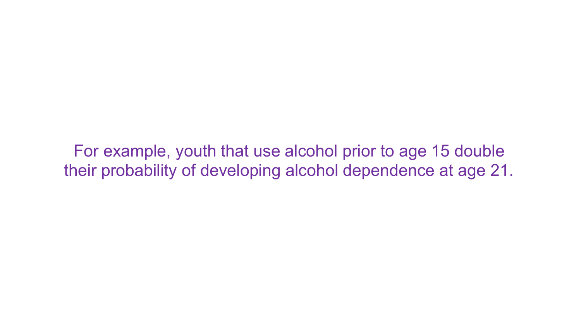For example, youth that use alcohol prior to age 15 double their probability of developing alcohol dependence at age 21.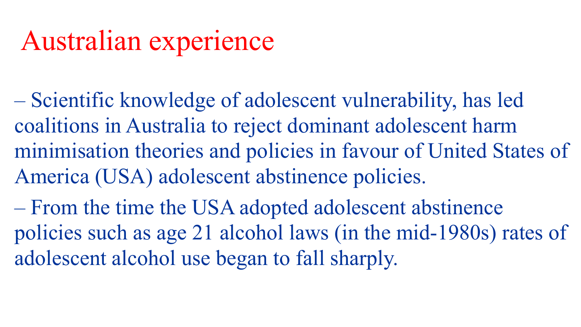– Scientific knowledge of adolescent vulnerability, has led coalitions in Australia to reject dominant adolescent harm minimisation theories and policies in favour of United States of America (USA) adolescent abstinence policies.

– From the time the USA adopted adolescent abstinence policies such as age 21 alcohol laws (in the mid-1980s) rates of adolescent alcohol use began to fall sharply.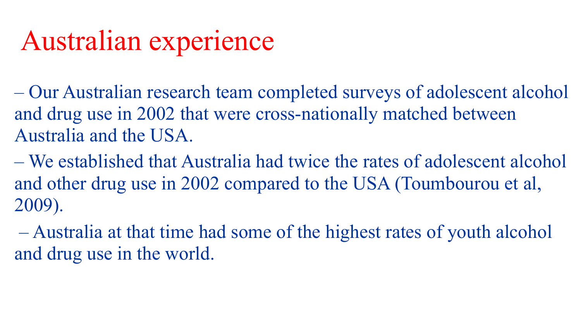– Our Australian research team completed surveys of adolescent alcohol and drug use in 2002 that were cross-nationally matched between Australia and the USA.

– We established that Australia had twice the rates of adolescent alcohol and other drug use in 2002 compared to the USA (Toumbourou et al, 2009).

 – Australia at that time had some of the highest rates of youth alcohol and drug use in the world.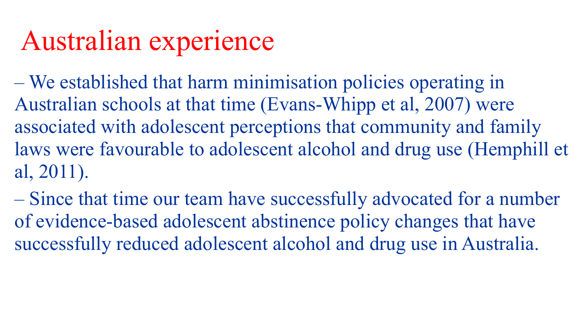– We established that harm minimisation policies operating in Australian schools at that time (Evans-Whipp et al, 2007) were associated with adolescent perceptions that community and family laws were favourable to adolescent alcohol and drug use (Hemphill et al, 2011).

– Since that time our team have successfully advocated for a number of evidence-based adolescent abstinence policy changes that have successfully reduced adolescent alcohol and drug use in Australia.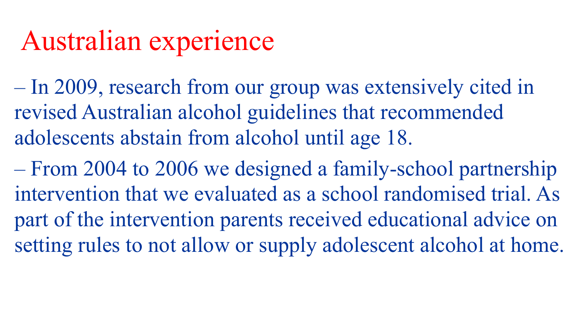– In 2009, research from our group was extensively cited in revised Australian alcohol guidelines that recommended adolescents abstain from alcohol until age 18.

– From 2004 to 2006 we designed a family-school partnership intervention that we evaluated as a school randomised trial. As part of the intervention parents received educational advice on setting rules to not allow or supply adolescent alcohol at home.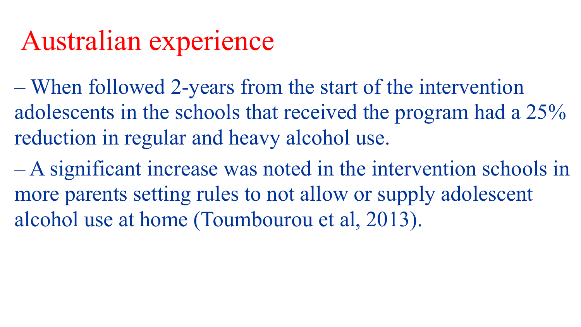- When followed 2-years from the start of the intervention adolescents in the schools that received the program had a 25% reduction in regular and heavy alcohol use.
- A significant increase was noted in the intervention schools in more parents setting rules to not allow or supply adolescent alcohol use at home (Toumbourou et al, 2013).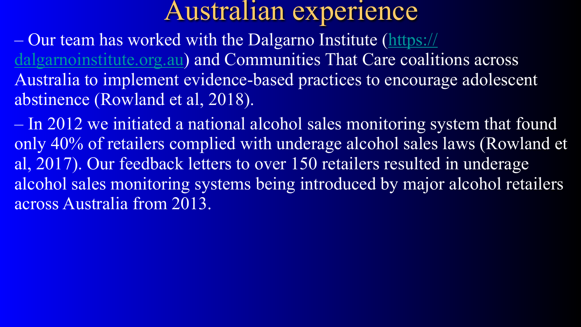– Our team has worked with the Dalgarno Institute [\(https://](https://dalgarnoinstitute.org.au/) [dalgarnoinstitute.org.au\)](https://dalgarnoinstitute.org.au/) and Communities That Care coalitions across Australia to implement evidence-based practices to encourage adolescent abstinence (Rowland et al, 2018).

– In 2012 we initiated a national alcohol sales monitoring system that found only 40% of retailers complied with underage alcohol sales laws (Rowland et al, 2017). Our feedback letters to over 150 retailers resulted in underage alcohol sales monitoring systems being introduced by major alcohol retailers across Australia from 2013.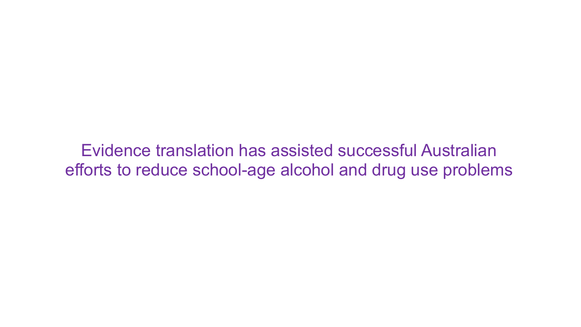Evidence translation has assisted successful Australian efforts to reduce school-age alcohol and drug use problems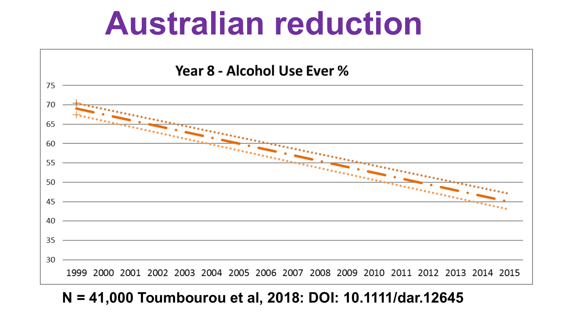# **Australian reduction**



#### **N = 41,000 Toumbourou et al, 2018: DOI: 10.1111/dar.12645**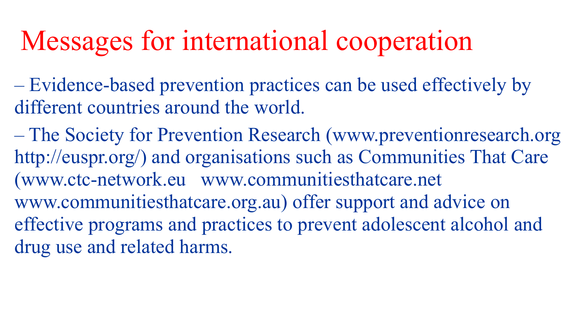## Messages for international cooperation

– Evidence-based prevention practices can be used effectively by different countries around the world.

– The Society for Prevention Research (www.preventionresearch.org http://euspr.org/) and organisations such as Communities That Care (www.ctc-network.eu www.communitiesthatcare.net www.communitiesthatcare.org.au) offer support and advice on effective programs and practices to prevent adolescent alcohol and drug use and related harms.